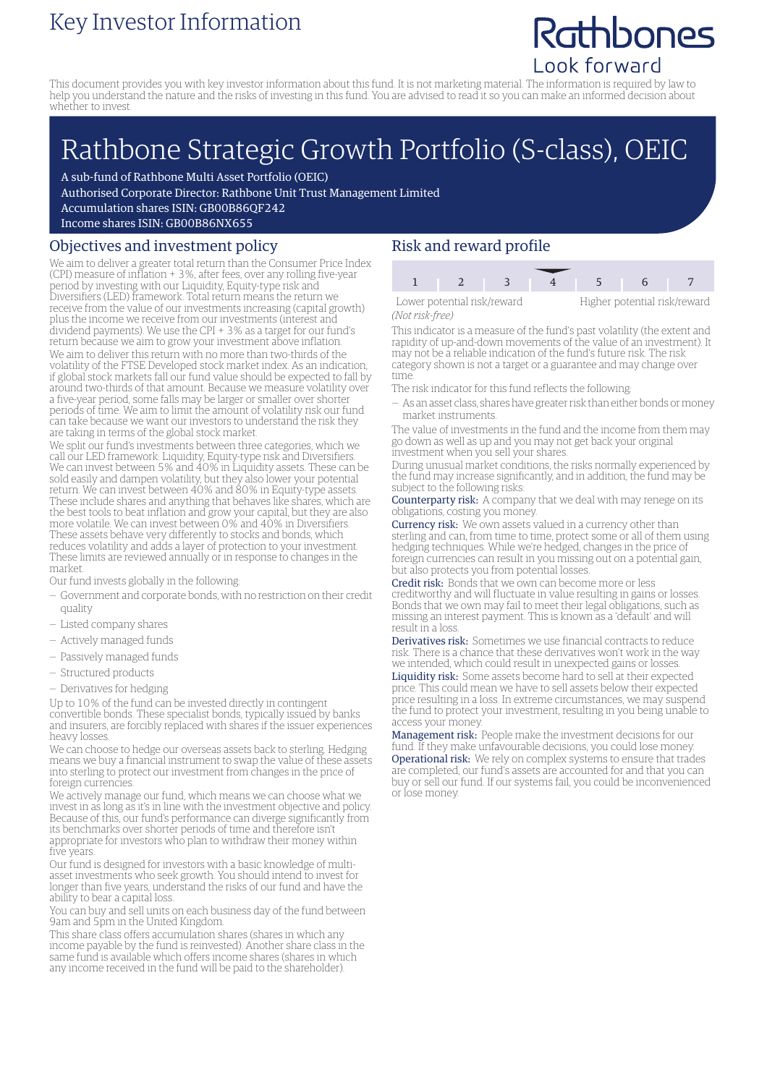### Key Investor Information

## Rathbones Look forward

This document provides you with key investor information about this fund. It is not marketing material. The information is required by law to help you understand the nature and the risks of investing in this fund. You are advised to read it so you can make an informed decision about whether to invest.

# Rathbone Strategic Growth Portfolio (S-class), OEIC

A sub-fund of Rathbone Multi Asset Portfolio (OEIC)

Authorised Corporate Director: Rathbone Unit Trust Management Limited

Accumulation shares ISIN: GB00B86QF242

Income shares ISIN: GB00B86NX655

#### Objectives and investment policy

We aim to deliver a greater total return than the Consumer Price Index (CPI) measure of inflation + 3%, after fees, over any rolling five-year period by investing with our Liquidity, Equity-type risk and Diversifiers (LED) framework. Total return means the return we receive from the value of our investments increasing (capital growth) plus the income we receive from our investments (interest and dividend payments). We use the CPI + 3% as a target for our fund's return because we aim to grow your investment above inflation. We aim to deliver this return with no more than two-thirds of the volatility of the FTSE Developed stock market index. As an indication, if global stock markets fall our fund value should be expected to fall by around two-thirds of that amount. Because we measure volatility over a five-year period, some falls may be larger or smaller over shorter periods of time. We aim to limit the amount of volatility risk our fund can take because we want our investors to understand the risk they are taking in terms of the global stock market.

We split our fund's investments between three categories, which we call our LED framework: Liquidity, Equity-type risk and Diversifiers. We can invest between 5% and 40% in Liquidity assets. These can be sold easily and dampen volatility, but they also lower your potential return. We can invest between 40% and 80% in Equity-type assets. These include shares and anything that behaves like shares, which are the best tools to beat inflation and grow your capital, but they are also more volatile. We can invest between 0% and 40% in Diversifiers. These assets behave very differently to stocks and bonds, which reduces volatility and adds a layer of protection to your investment. These limits are reviewed annually or in response to changes in the market.

Our fund invests globally in the following:

- Government and corporate bonds, with no restriction on their credit quality
- Listed company shares
- Actively managed funds
- Passively managed funds
- Structured products
- Derivatives for hedging

Up to 10% of the fund can be invested directly in contingent convertible bonds. These specialist bonds, typically issued by banks and insurers, are forcibly replaced with shares if the issuer experiences heavy losses.

We can choose to hedge our overseas assets back to sterling. Hedging means we buy a financial instrument to swap the value of these assets into sterling to protect our investment from changes in the price of foreign currencies.

We actively manage our fund, which means we can choose what we invest in as long as it's in line with the investment objective and policy. Because of this, our fund's performance can diverge significantly from its benchmarks over shorter periods of time and therefore isn't appropriate for investors who plan to withdraw their money within five years.

Our fund is designed for investors with a basic knowledge of multiasset investments who seek growth. You should intend to invest for longer than five years, understand the risks of our fund and have the ability to bear a capital loss.

You can buy and sell units on each business day of the fund between 9am and 5pm in the United Kingdom.

This share class offers accumulation shares (shares in which any income payable by the fund is reinvested). Another share class in the same fund is available which offers income shares (shares in which any income received in the fund will be paid to the shareholder).

#### Risk and reward profile

| Lower potential risk/reward |  |  | Higher potential risk/reward |  |  |
|-----------------------------|--|--|------------------------------|--|--|
| (Not risk-free)             |  |  |                              |  |  |

This indicator is a measure of the fund's past volatility (the extent and rapidity of up-and-down movements of the value of an investment). It may not be a reliable indication of the fund's future risk. The risk category shown is not a target or a guarantee and may change over time.

- The risk indicator for this fund reflects the following:
- As an asset class, shares have greater risk than either bonds ormoney market instruments.

The value of investments in the fund and the income from them may go down as well as up and you may not get back your original investment when you sell your shares.

During unusual market conditions, the risks normally experienced by the fund may increase significantly, and in addition, the fund may be subject to the following risks:

Counterparty risk: A company that we deal with may renege on its obligations, costing you money.

Currency risk: We own assets valued in a currency other than sterling and can, from time to time, protect some or all of them using hedging techniques. While we're hedged, changes in the price of foreign currencies can result in you missing out on a potential gain, but also protects you from potential losses.

Credit risk: Bonds that we own can become more or less creditworthy and will fluctuate in value resulting in gains or losses. Bonds that we own may fail to meet their legal obligations, such as missing an interest payment. This is known as a 'default' and will result in a loss.

Derivatives risk: Sometimes we use financial contracts to reduce risk. There is a chance that these derivatives won't work in the way we intended, which could result in unexpected gains or losses. Liquidity risk: Some assets become hard to sell at their expected price. This could mean we have to sell assets below their expected price resulting in a loss. In extreme circumstances, we may suspend the fund to protect your investment, resulting in you being unable to access your money.

Management risk: People make the investment decisions for our fund. If they make unfavourable decisions, you could lose money. Operational risk: We rely on complex systems to ensure that trades are completed, our fund's assets are accounted for and that you can buy or sell our fund. If our systems fail, you could be inconvenienced or lose money.